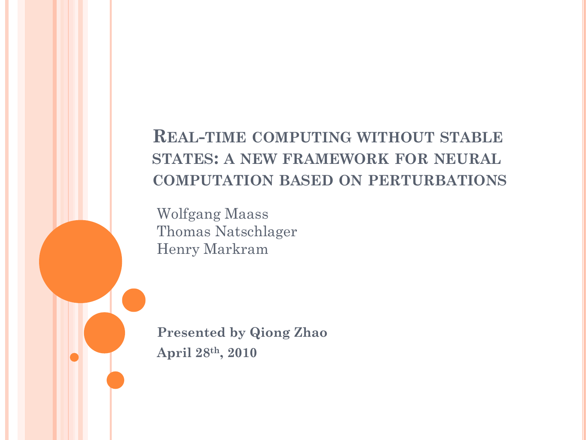#### **REAL-TIME COMPUTING WITHOUT STABLE STATES: A NEW FRAMEWORK FOR NEURAL COMPUTATION BASED ON PERTURBATIONS**

Wolfgang Maass Thomas Natschlager Henry Markram

**Presented by Qiong Zhao April 28th, 2010**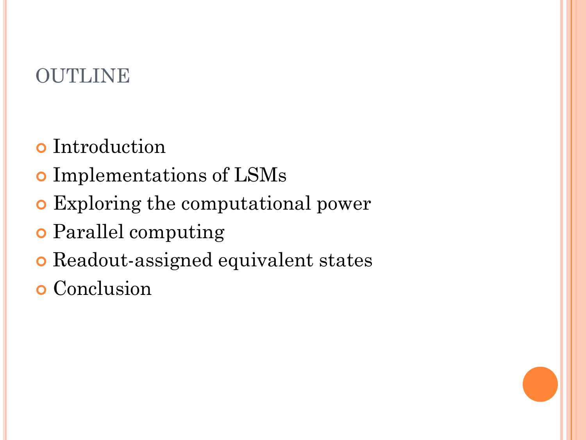# OUTLINE

- **o** Introduction
- o Implementations of LSMs
- Exploring the computational power
- Parallel computing
- Readout-assigned equivalent states
- **o** Conclusion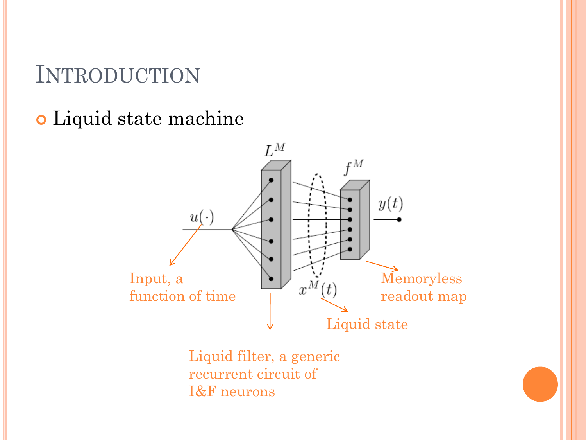# INTRODUCTION

Liquid state machine



Liquid filter, a generic recurrent circuit of I&F neurons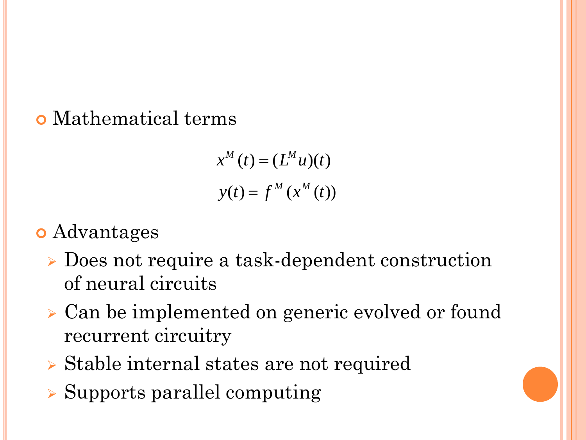### Mathematical terms

$$
x^{M}(t) = (L^{M}u)(t)
$$

$$
y(t) = f^{M}(x^{M}(t))
$$

### **o** Advantages

- Does not require a task-dependent construction of neural circuits
- Can be implemented on generic evolved or found recurrent circuitry
- Stable internal states are not required
- $\triangleright$  Supports parallel computing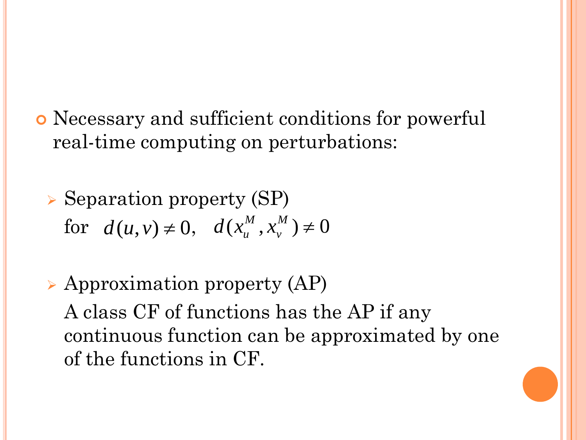- Necessary and sufficient conditions for powerful real-time computing on perturbations:
	- $\triangleright$  Separation property (SP) for  $d(u, v) \neq 0$ ,  $d(x_u^M, x_v^M) \neq 0$
	- $\triangleright$  Approximation property (AP) A class CF of functions has the AP if any continuous function can be approximated by one of the functions in CF.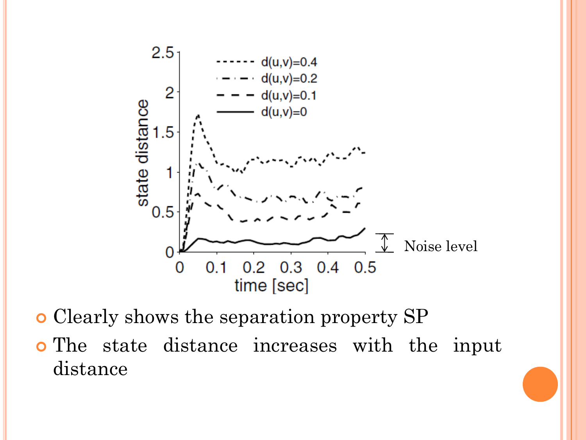

- Clearly shows the separation property SP
- The state distance increases with the input distance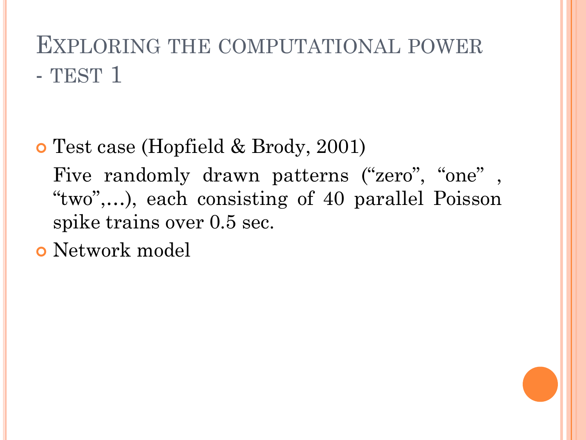# EXPLORING THE COMPUTATIONAL POWER - TEST 1

- Test case (Hopfield & Brody, 2001) Five randomly drawn patterns ("zero", "one", "two",…), each consisting of 40 parallel Poisson spike trains over 0.5 sec.
- Network model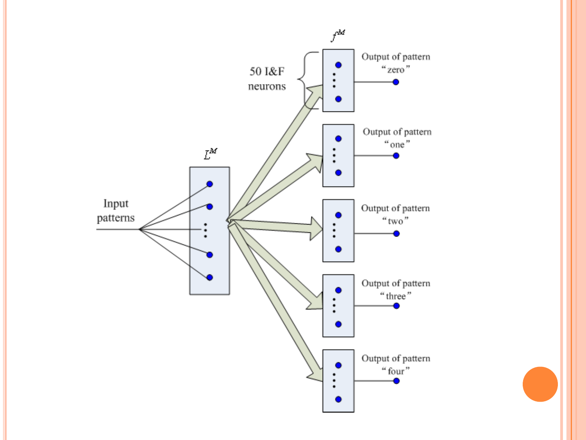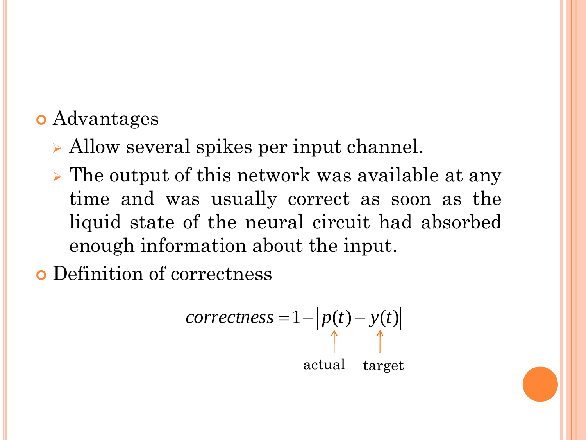## Advantages

- Allow several spikes per input channel.
- $\triangleright$  The output of this network was available at any time and was usually correct as soon as the liquid state of the neural circuit had absorbed enough information about the input.

Definition of correctness

$$
correctness = 1 - \left| p(t) - y(t) \right|
$$
  
\n
$$
\uparrow
$$
  
\nactual target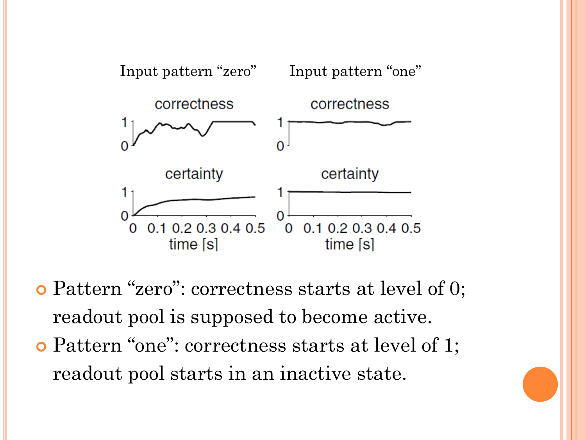

 Pattern "zero": correctness starts at level of 0; readout pool is supposed to become active.

 Pattern "one": correctness starts at level of 1; readout pool starts in an inactive state.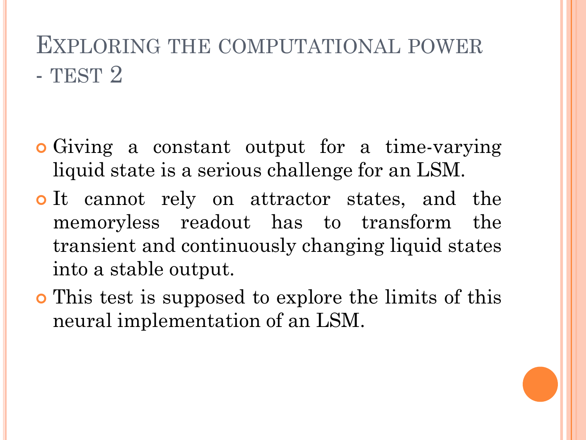# EXPLORING THE COMPUTATIONAL POWER - TEST 2

- Giving a constant output for a time-varying liquid state is a serious challenge for an LSM.
- o It cannot rely on attractor states, and the memoryless readout has to transform the transient and continuously changing liquid states into a stable output.
- This test is supposed to explore the limits of this neural implementation of an LSM.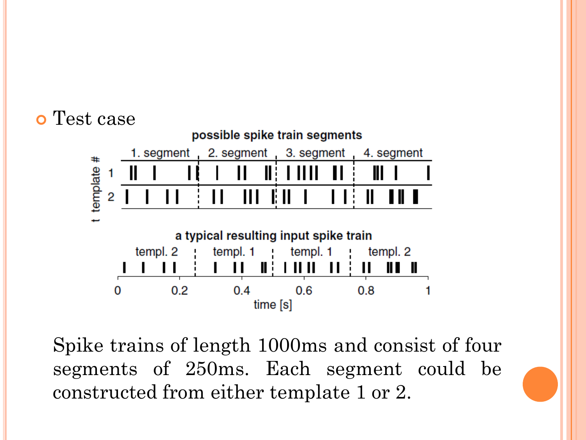

Spike trains of length 1000ms and consist of four segments of 250ms. Each segment could be constructed from either template 1 or 2.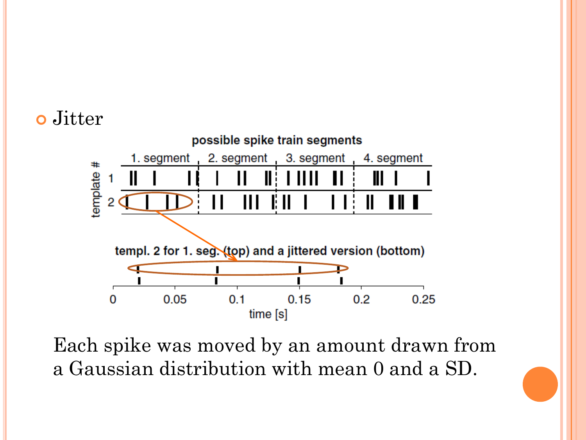### o Jitter



Each spike was moved by an amount drawn from a Gaussian distribution with mean 0 and a SD.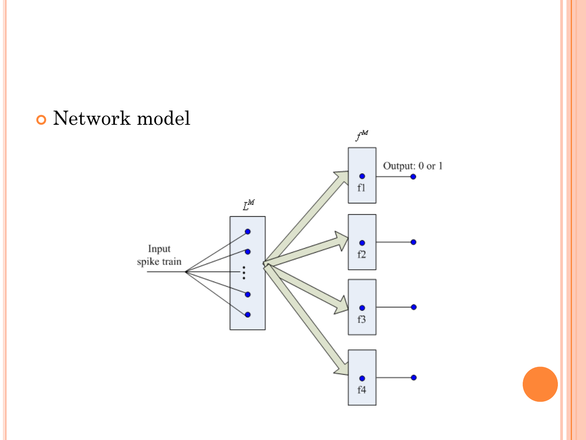## Network model

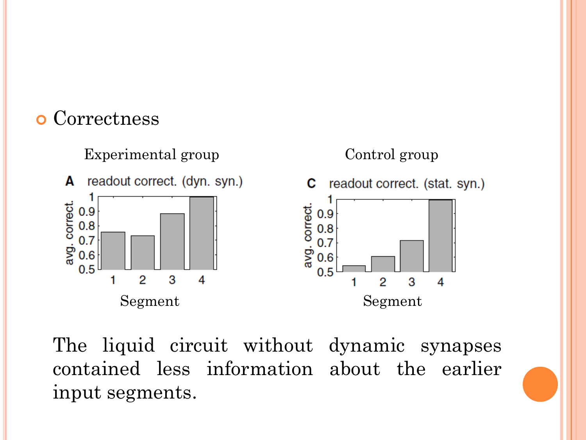### **o** Correctness



The liquid circuit without dynamic synapses contained less information about the earlier input segments.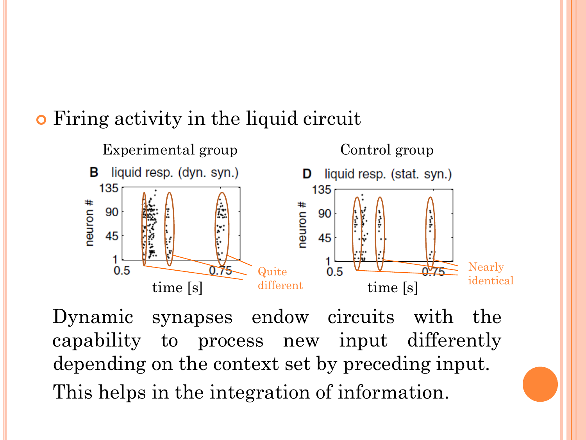## Firing activity in the liquid circuit



Dynamic synapses endow circuits with the capability to process new input differently depending on the context set by preceding input. This helps in the integration of information.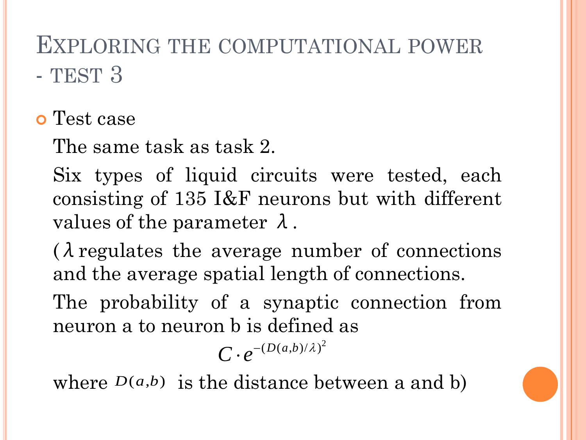# EXPLORING THE COMPUTATIONAL POWER - TEST 3

o Test case

The same task as task 2.

Six types of liquid circuits were tested, each consisting of 135 I&F neurons but with different values of the parameter  $\lambda$ .

 $\lambda$  regulates the average number of connections and the average spatial length of connections.

The probability of a synaptic connection from neuron a to neuron b is defined as

 $C \cdot e^{-(D(a,b)/\lambda)^2}$ 

where  $D(a,b)$  is the distance between a and b)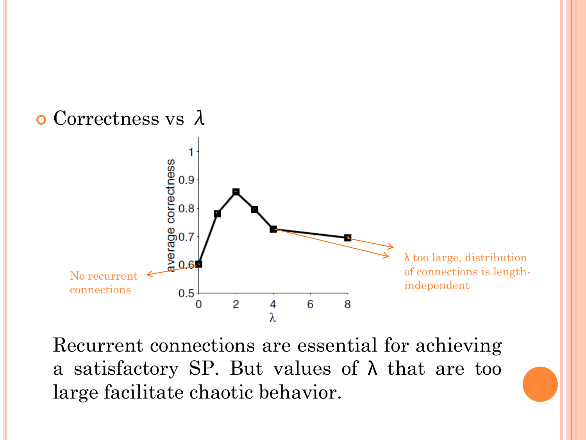

Recurrent connections are essential for achieving a satisfactory SP. But values of  $\lambda$  that are too large facilitate chaotic behavior.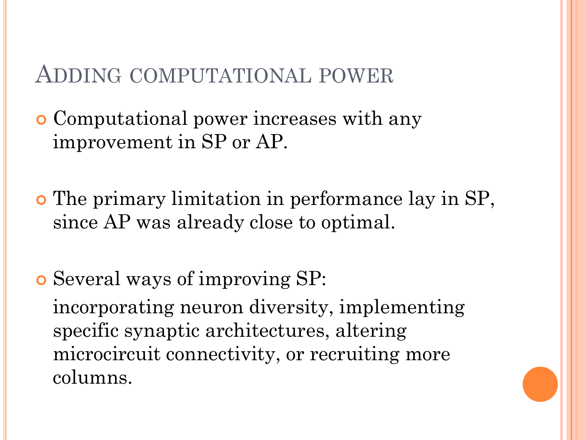## ADDING COMPUTATIONAL POWER

 Computational power increases with any improvement in SP or AP.

 The primary limitation in performance lay in SP, since AP was already close to optimal.

 Several ways of improving SP: incorporating neuron diversity, implementing specific synaptic architectures, altering microcircuit connectivity, or recruiting more columns.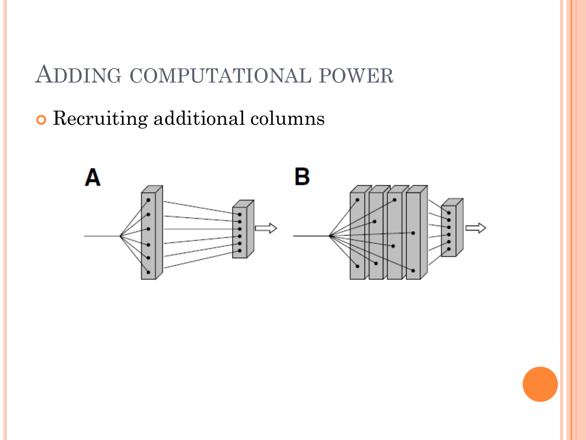# ADDING COMPUTATIONAL POWER

# Recruiting additional columns

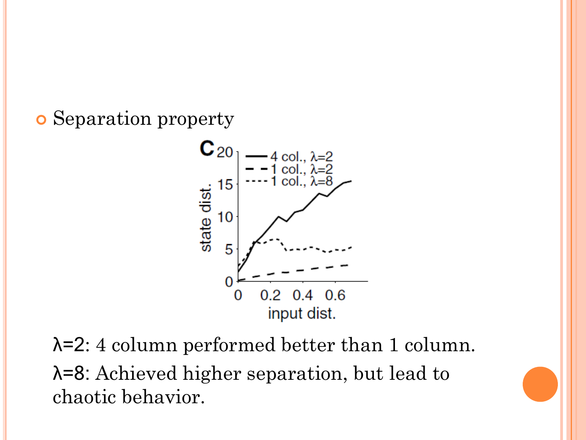Separation property



λ=2: 4 column performed better than 1 column. λ=8: Achieved higher separation, but lead to chaotic behavior.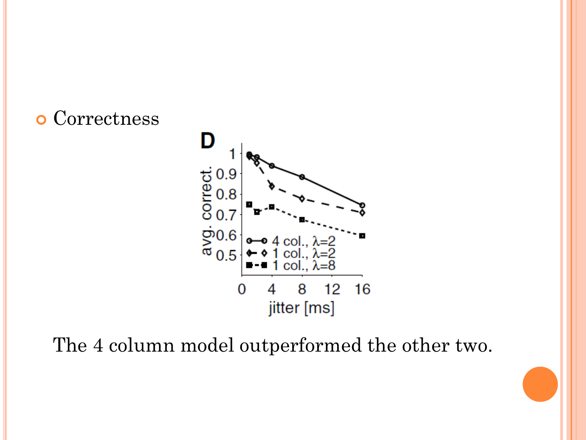### o Correctness



The 4 column model outperformed the other two.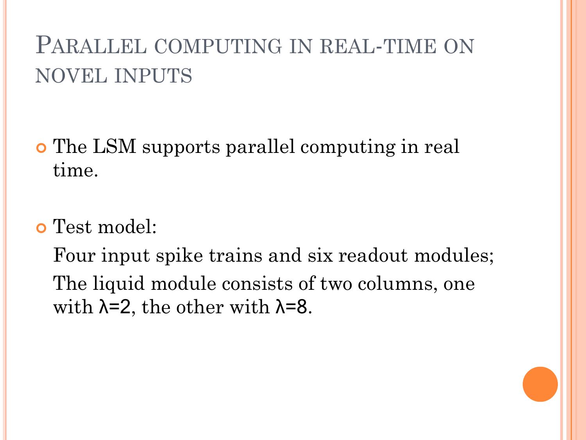# PARALLEL COMPUTING IN REAL-TIME ON NOVEL INPUTS

- The LSM supports parallel computing in real time.
- Test model:

Four input spike trains and six readout modules; The liquid module consists of two columns, one with  $\lambda = 2$ , the other with  $\lambda = 8$ .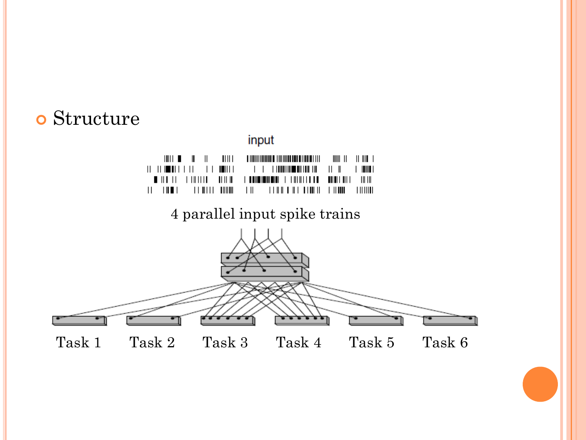### Structure

### input

#### 4 parallel input spike trains

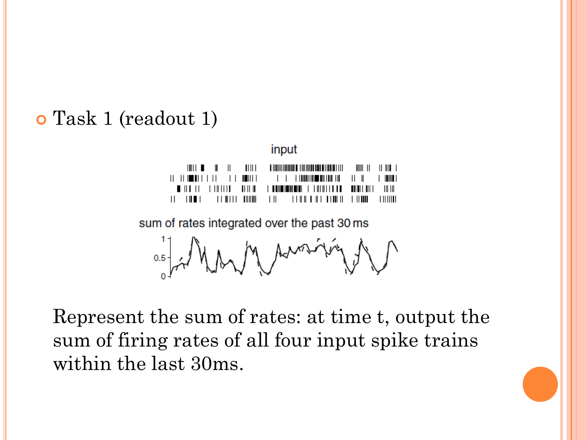### Task 1 (readout 1)

input

|  |  | TE TULLE TENITE ANNUL TENIT TENIT ANNUL TENIN TENING AN |  |
|--|--|---------------------------------------------------------|--|

sum of rates integrated over the past 30 ms

M Aussinie  $0.5 - 2$ 

Represent the sum of rates: at time t, output the sum of firing rates of all four input spike trains within the last 30ms.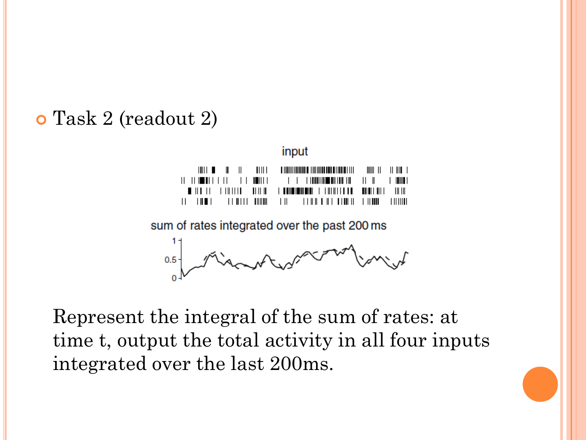### Task 2 (readout 2)

input

|  | $\  \cdot \  \cdot \ $ $\  \cdot \  \cdot \ $ $\  \cdot \  \cdot \ $ |  |
|--|----------------------------------------------------------------------|--|
|  |                                                                      |  |
|  |                                                                      |  |
|  |                                                                      |  |

sum of rates integrated over the past 200 ms

 $0.5 -$ 

Represent the integral of the sum of rates: at time t, output the total activity in all four inputs integrated over the last 200ms.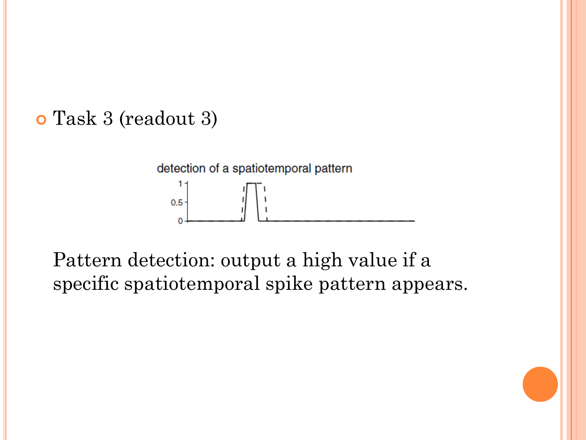# Task 3 (readout 3)

#### detection of a spatiotemporal pattern 1.  $0.5$  $\Omega$

Pattern detection: output a high value if a specific spatiotemporal spike pattern appears.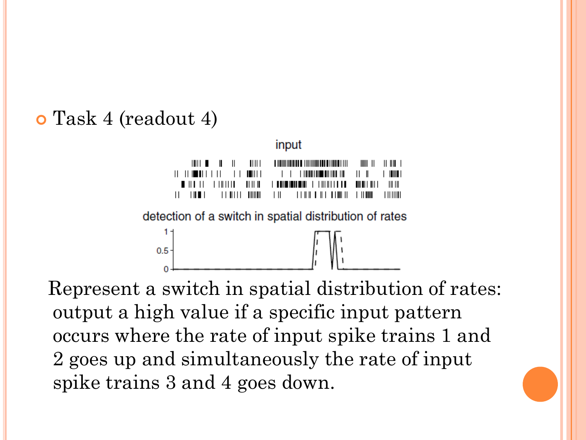### Task 4 (readout 4)

n



Represent a switch in spatial distribution of rates: output a high value if a specific input pattern occurs where the rate of input spike trains 1 and 2 goes up and simultaneously the rate of input spike trains 3 and 4 goes down.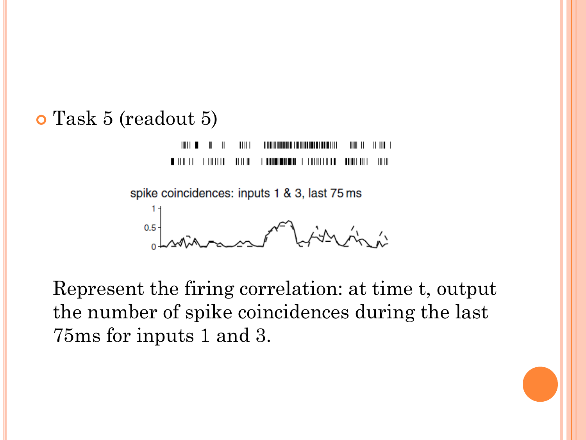### Task 5 (readout 5)

 $III1$  $\mathsf{I} \mathsf{I} \mathsf{I} \mathsf{I} \mathsf{I} \mathsf{I}$  $\mathsf{III} \mathsf{I}$  $\mathbf{||}$   $\mathbf{||}$   $\mathbf{||}$  $\blacksquare$  $III$   $III$ 

spike coincidences: inputs 1 & 3, last 75 ms

 $0.5 -$ AA An A

Represent the firing correlation: at time t, output the number of spike coincidences during the last 75ms for inputs 1 and 3.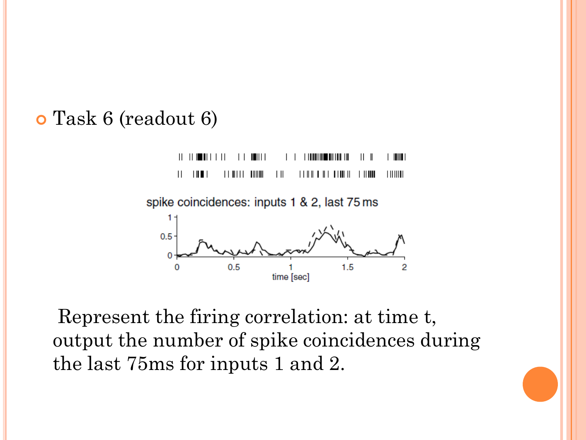### Task 6 (readout 6)

 $||$   $||$   $||$   $||$   $||$   $||$   $||$   $||$  $\blacksquare$ **I IIII** I TII I III TII I III I III  $\frac{1}{2}$  $\parallel$   $\parallel$   $\parallel$   $\parallel$ **TIIIIIII**  $\|$  |  $\|$  |  $\|$  ||  $\|$  ||  $\|$  $\parallel$   $\parallel$   $\parallel$   $\parallel$ Ш

spike coincidences: inputs 1 & 2, last 75 ms



Represent the firing correlation: at time t, output the number of spike coincidences during the last 75ms for inputs 1 and 2.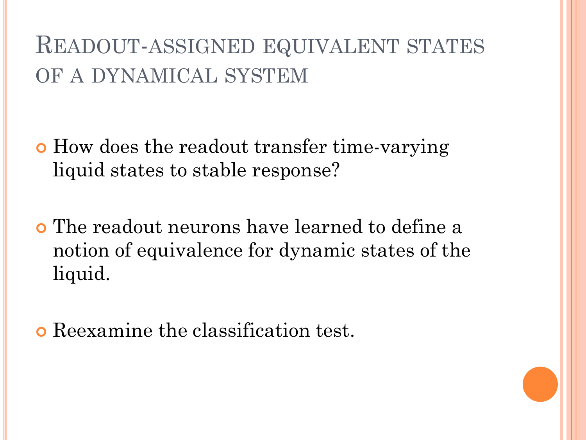# READOUT-ASSIGNED EQUIVALENT STATES OF A DYNAMICAL SYSTEM

- How does the readout transfer time-varying liquid states to stable response?
- The readout neurons have learned to define a notion of equivalence for dynamic states of the liquid.
- Reexamine the classification test.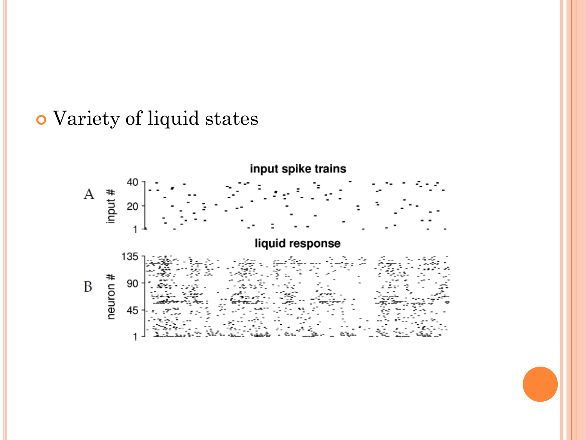### Variety of liquid states

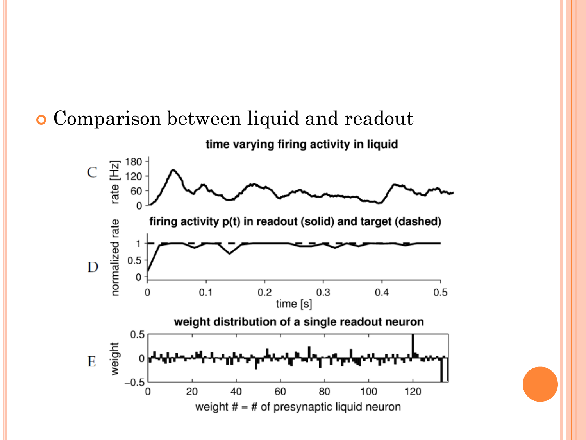